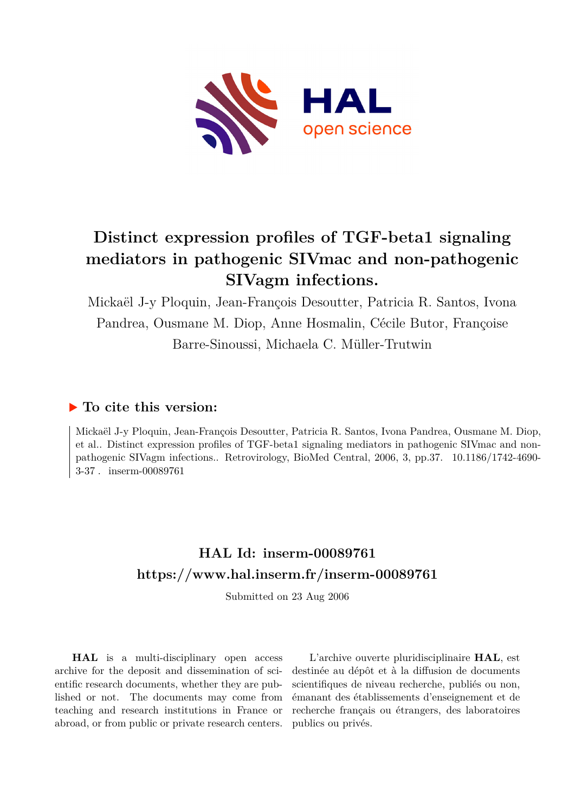

# **Distinct expression profiles of TGF-beta1 signaling mediators in pathogenic SIVmac and non-pathogenic SIVagm infections.**

Mickaël J-y Ploquin, Jean-François Desoutter, Patricia R. Santos, Ivona Pandrea, Ousmane M. Diop, Anne Hosmalin, Cécile Butor, Françoise Barre-Sinoussi, Michaela C. Müller-Trutwin

## **To cite this version:**

Mickaël J-y Ploquin, Jean-François Desoutter, Patricia R. Santos, Ivona Pandrea, Ousmane M. Diop, et al.. Distinct expression profiles of TGF-beta1 signaling mediators in pathogenic SIVmac and nonpathogenic SIVagm infections.. Retrovirology, BioMed Central, 2006, 3, pp.37. 10.1186/1742-4690-3-37. inserm-00089761

# **HAL Id: inserm-00089761 <https://www.hal.inserm.fr/inserm-00089761>**

Submitted on 23 Aug 2006

**HAL** is a multi-disciplinary open access archive for the deposit and dissemination of scientific research documents, whether they are published or not. The documents may come from teaching and research institutions in France or abroad, or from public or private research centers.

L'archive ouverte pluridisciplinaire **HAL**, est destinée au dépôt et à la diffusion de documents scientifiques de niveau recherche, publiés ou non, émanant des établissements d'enseignement et de recherche français ou étrangers, des laboratoires publics ou privés.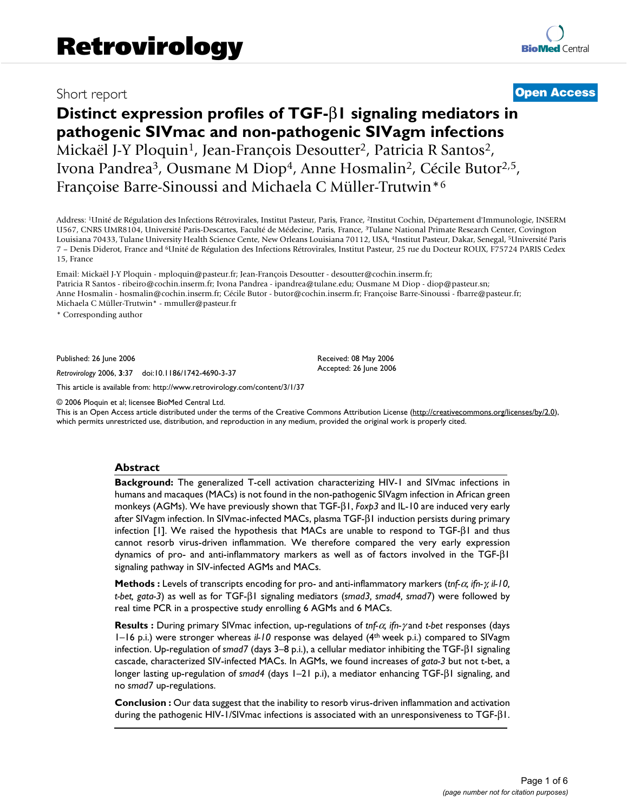## Short report **[Open Access](http://www.biomedcentral.com/info/about/charter/)**

## **Distinct expression profiles of TGF-**β**1 signaling mediators in pathogenic SIVmac and non-pathogenic SIVagm infections** Mickaël J-Y Ploquin<sup>1</sup>, Jean-François Desoutter<sup>2</sup>, Patricia R Santos<sup>2</sup>, Ivona Pandrea<sup>3</sup>, Ousmane M Diop<sup>4</sup>, Anne Hosmalin<sup>2</sup>, Cécile Butor<sup>2,5</sup>, Françoise Barre-Sinoussi and Michaela C Müller-Trutwin\*<sup>6</sup>

Address: <sup>1</sup>Unité de Régulation des Infections Rétrovirales, Institut Pasteur, Paris, France, <sup>2</sup>Institut Cochin, Département d'Immunologie, INSERM U567, CNRS UMR8104, Université Paris-Descartes, Faculté de Médecine, Paris, France, <sup>3</sup>Tulane National Primate Research Center, Covington Louisiana 70433, Tulane University Health Science Cente, New Orleans Louisiana 70112, USA, <sup>4</sup>Institut Pasteur, Dakar, Senegal, <sup>5</sup>Université Paris 7 – Denis Diderot, France and <sup>6</sup>Unité de Régulation des Infections Rétrovirales, Institut Pasteur, 25 rue du Docteur ROUX, F75724 PARIS Cedex 15, France

Email: Mickaël J-Y Ploquin - mploquin@pasteur.fr; Jean-François Desoutter - desoutter@cochin.inserm.fr; Patricia R Santos - ribeiro@cochin.inserm.fr; Ivona Pandrea - ipandrea@tulane.edu; Ousmane M Diop - diop@pasteur.sn; Anne Hosmalin - hosmalin@cochin.inserm.fr; Cécile Butor - butor@cochin.inserm.fr; Françoise Barre-Sinoussi - fbarre@pasteur.fr; Michaela C Müller-Trutwin\* - mmuller@pasteur.fr

\* Corresponding author

Published: 26 June 2006

*Retrovirology* 2006, **3**:37 doi:10.1186/1742-4690-3-37

[This article is available from: http://www.retrovirology.com/content/3/1/37](http://www.retrovirology.com/content/3/1/37)

© 2006 Ploquin et al; licensee BioMed Central Ltd.

This is an Open Access article distributed under the terms of the Creative Commons Attribution License [\(http://creativecommons.org/licenses/by/2.0\)](http://creativecommons.org/licenses/by/2.0), which permits unrestricted use, distribution, and reproduction in any medium, provided the original work is properly cited.

Received: 08 May 2006 Accepted: 26 June 2006

#### **Abstract**

**Background:** The generalized T-cell activation characterizing HIV-1 and SIVmac infections in humans and macaques (MACs) is not found in the non-pathogenic SIVagm infection in African green monkeys (AGMs). We have previously shown that TGF-β1, *Foxp3* and IL-10 are induced very early after SIVagm infection. In SIVmac-infected MACs, plasma TGF-β1 induction persists during primary infection [1]. We raised the hypothesis that MACs are unable to respond to TGF-β1 and thus cannot resorb virus-driven inflammation. We therefore compared the very early expression dynamics of pro- and anti-inflammatory markers as well as of factors involved in the TGF-β1 signaling pathway in SIV-infected AGMs and MACs.

**Methods :** Levels of transcripts encoding for pro- and anti-inflammatory markers (*tnf-*α*, ifn-*γ*, il-10, t-bet, gata-3*) as well as for TGF-β1 signaling mediators (*smad3, smad4, smad7*) were followed by real time PCR in a prospective study enrolling 6 AGMs and 6 MACs.

**Results :** During primary SIVmac infection, up-regulations of *tnf-*α*, ifn-*γ and *t-bet* responses (days 1–16 p.i.) were stronger whereas *il-10* response was delayed (4th week p.i.) compared to SIVagm infection. Up-regulation of *smad7* (days 3–8 p.i.), a cellular mediator inhibiting the TGF-β1 signaling cascade, characterized SIV-infected MACs. In AGMs, we found increases of *gata-3* but not t-bet, a longer lasting up-regulation of *smad4* (days 1–21 p.i), a mediator enhancing TGF-β1 signaling, and no *smad7* up-regulations.

**Conclusion :** Our data suggest that the inability to resorb virus-driven inflammation and activation during the pathogenic HIV-1/SIVmac infections is associated with an unresponsiveness to TGF-β1.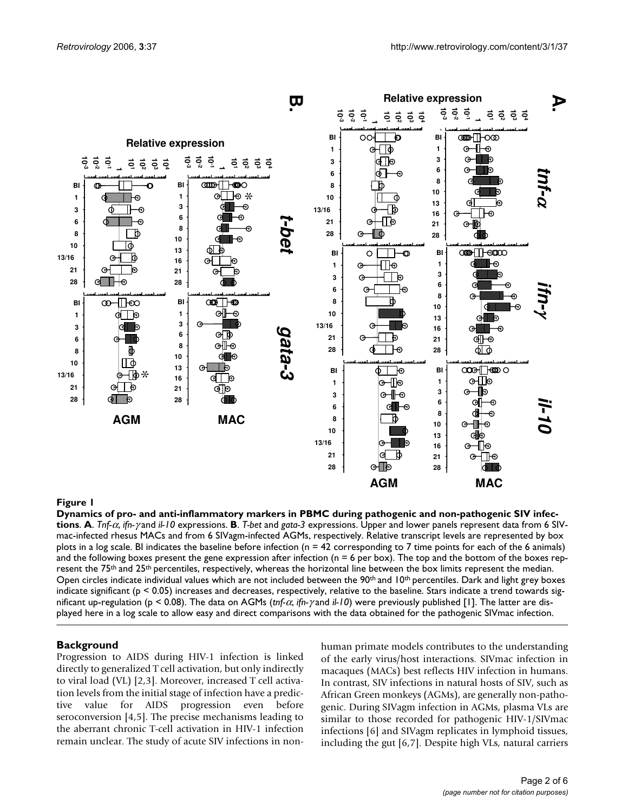

Dynamics of pro- and anti-inflammatory markers in PBMC **Figure 1** during pathogenic and non-pathogenic SIV infections **Dynamics of pro- and anti-inflammatory markers in PBMC during pathogenic and non-pathogenic SIV infections**. **A**. *Tnf-*α, *ifn-*γ and *il-10* expressions. **B**. *T-bet* and *gata-3* expressions. Upper and lower panels represent data from 6 SIVmac-infected rhesus MACs and from 6 SIVagm-infected AGMs, respectively. Relative transcript levels are represented by box plots in a log scale. BI indicates the baseline before infection ( $n = 42$  corresponding to 7 time points for each of the 6 animals) and the following boxes present the gene expression after infection ( $n = 6$  per box). The top and the bottom of the boxes represent the 75<sup>th</sup> and 25<sup>th</sup> percentiles, respectively, whereas the horizontal line between the box limits represent the median. Open circles indicate individual values which are not included between the  $90<sup>th</sup>$  and  $10<sup>th</sup>$  percentiles. Dark and light grey boxes indicate significant ( $p < 0.05$ ) increases and decreases, respectively, relative to the baseline. Stars indicate a trend towards significant up-regulation (p < 0.08). The data on AGMs (*tnf-*α, *ifn-*γ and *il-10*) were previously published [1]. The latter are dis-

#### **Background**

Progression to AIDS during HIV-1 infection is linked directly to generalized T cell activation, but only indirectly to viral load (VL) [2,3]. Moreover, increased T cell activation levels from the initial stage of infection have a predictive value for AIDS progression even before seroconversion [4,5]. The precise mechanisms leading to the aberrant chronic T-cell activation in HIV-1 infection remain unclear. The study of acute SIV infections in nonhuman primate models contributes to the understanding of the early virus/host interactions. SIVmac infection in macaques (MACs) best reflects HIV infection in humans. In contrast, SIV infections in natural hosts of SIV, such as African Green monkeys (AGMs), are generally non-pathogenic. During SIVagm infection in AGMs, plasma VLs are similar to those recorded for pathogenic HIV-1/SIVmac infections [6] and SIVagm replicates in lymphoid tissues, including the gut [6,7]. Despite high VLs, natural carriers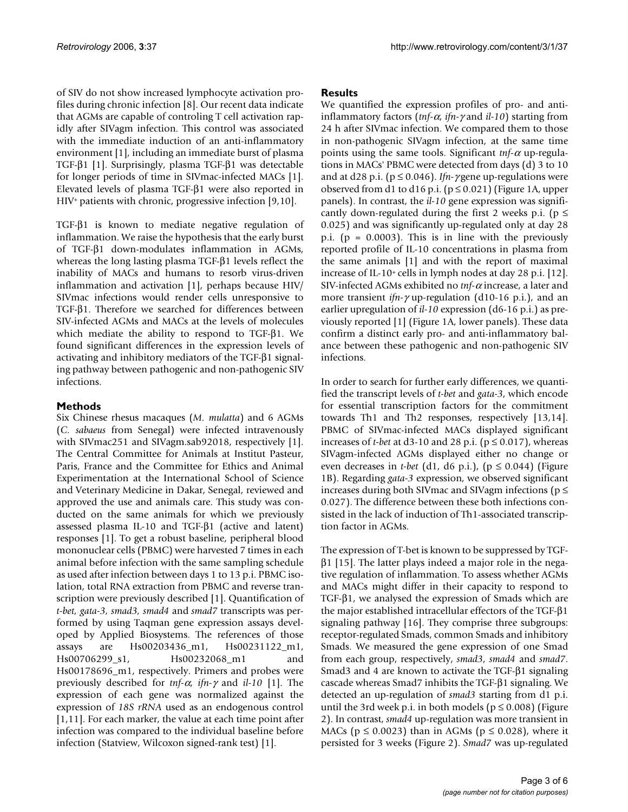of SIV do not show increased lymphocyte activation profiles during chronic infection [8]. Our recent data indicate that AGMs are capable of controling T cell activation rapidly after SIVagm infection. This control was associated with the immediate induction of an anti-inflammatory environment [1], including an immediate burst of plasma TGF-β1 [1]. Surprisingly, plasma TGF-β1 was detectable for longer periods of time in SIVmac-infected MACs [1]. Elevated levels of plasma TGF-β1 were also reported in HIV<sup>+</sup> patients with chronic, progressive infection [9,10].

TGF-β1 is known to mediate negative regulation of inflammation. We raise the hypothesis that the early burst of TGF-β1 down-modulates inflammation in AGMs, whereas the long lasting plasma TGF-β1 levels reflect the inability of MACs and humans to resorb virus-driven inflammation and activation [1], perhaps because HIV/ SIVmac infections would render cells unresponsive to TGF-β1. Therefore we searched for differences between SIV-infected AGMs and MACs at the levels of molecules which mediate the ability to respond to TGF-β1. We found significant differences in the expression levels of activating and inhibitory mediators of the TGF-β1 signaling pathway between pathogenic and non-pathogenic SIV infections.

### **Methods**

Six Chinese rhesus macaques (*M. mulatta*) and 6 AGMs (*C. sabaeus* from Senegal) were infected intravenously with SIVmac251 and SIVagm.sab92018, respectively [1]. The Central Committee for Animals at Institut Pasteur, Paris, France and the Committee for Ethics and Animal Experimentation at the International School of Science and Veterinary Medicine in Dakar, Senegal, reviewed and approved the use and animals care. This study was conducted on the same animals for which we previously assessed plasma IL-10 and TGF-β1 (active and latent) responses [1]. To get a robust baseline, peripheral blood mononuclear cells (PBMC) were harvested 7 times in each animal before infection with the same sampling schedule as used after infection between days 1 to 13 p.i. PBMC isolation, total RNA extraction from PBMC and reverse transcription were previously described [1]. Quantification of *t-bet, gata-3, smad3, smad4* and *smad7* transcripts was performed by using Taqman gene expression assays developed by Applied Biosystems. The references of those assays are Hs00203436\_m1, Hs00231122\_m1, Hs00706299\_s1, Hs00232068\_m1 and Hs00178696\_m1, respectively. Primers and probes were previously described for *tnf-*α, *ifn-*γ and *il-10* [1]. The expression of each gene was normalized against the expression of *18S rRNA* used as an endogenous control [1,11]. For each marker, the value at each time point after infection was compared to the individual baseline before infection (Statview, Wilcoxon signed-rank test) [1].

### **Results**

We quantified the expression profiles of pro- and antiinflammatory factors (*tnf-*α, *ifn-*γ and *il-10*) starting from 24 h after SIVmac infection. We compared them to those in non-pathogenic SIVagm infection, at the same time points using the same tools. Significant *tnf-*<sup>α</sup> up-regulations in MACs' PBMC were detected from days (d) 3 to 10 and at d28 p.i. (p ≤ 0.046). *Ifn-*γ gene up-regulations were observed from d1 to d16 p.i. ( $p \le 0.021$ ) (Figure 1A, upper panels). In contrast, the *il-10* gene expression was significantly down-regulated during the first 2 weeks p.i. ( $p \le$ 0.025) and was significantly up-regulated only at day 28 p.i. ( $p = 0.0003$ ). This is in line with the previously reported profile of IL-10 concentrations in plasma from the same animals [1] and with the report of maximal increase of IL-10+ cells in lymph nodes at day 28 p.i.  $[12]$ . SIV-infected AGMs exhibited no *tnf-*<sup>α</sup> increase, a later and more transient *ifn-*γ up-regulation (d10-16 p.i.), and an earlier upregulation of *il-10* expression (d6-16 p.i.) as previously reported [1] (Figure 1A, lower panels). These data confirm a distinct early pro- and anti-inflammatory balance between these pathogenic and non-pathogenic SIV infections.

In order to search for further early differences, we quantified the transcript levels of *t-bet* and *gata-3*, which encode for essential transcription factors for the commitment towards Th1 and Th2 responses, respectively [13,14]. PBMC of SIVmac-infected MACs displayed significant increases of *t-bet* at d3-10 and 28 p.i. ( $p \le 0.017$ ), whereas SIVagm-infected AGMs displayed either no change or even decreases in *t-bet* (d1, d6 p.i.), ( $p \le 0.044$ ) (Figure 1B). Regarding *gata-3* expression, we observed significant increases during both SIVmac and SIVagm infections ( $p \le$ 0.027). The difference between these both infections consisted in the lack of induction of Th1-associated transcription factor in AGMs.

The expression of T-bet is known to be suppressed by TGF $β1$  [15]. The latter plays indeed a major role in the negative regulation of inflammation. To assess whether AGMs and MACs might differ in their capacity to respond to TGF-β1, we analysed the expression of Smads which are the major established intracellular effectors of the TGF-β1 signaling pathway [16]. They comprise three subgroups: receptor-regulated Smads, common Smads and inhibitory Smads. We measured the gene expression of one Smad from each group, respectively, *smad3*, *smad4* and *smad7*. Smad3 and 4 are known to activate the TGF-β1 signaling cascade whereas Smad7 inhibits the TGF-β1 signaling. We detected an up-regulation of *smad3* starting from d1 p.i. until the 3rd week p.i. in both models ( $p \le 0.008$ ) (Figure 2). In contrast, *smad4* up-regulation was more transient in MACs ( $p \le 0.0023$ ) than in AGMs ( $p \le 0.028$ ), where it persisted for 3 weeks (Figure 2). *Smad7* was up-regulated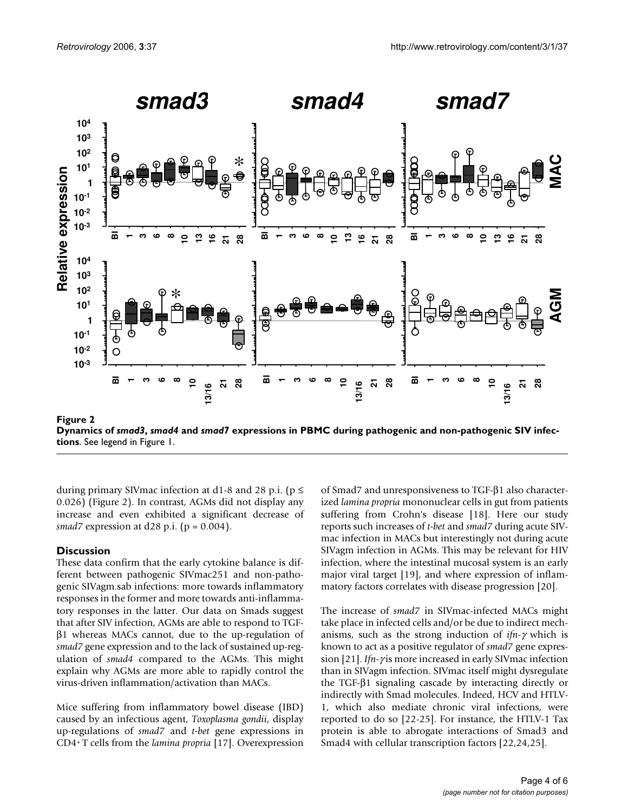

**Dynamics of** *smad3***,** *smad4* **and** *smad7* **expressions in PBMC during pathogenic and non-pathogenic SIV infections**. See legend in Figure 1.

during primary SIV mac infection at d1-8 and 28 p.i. ( $p \le$ 0.026) (Figure 2). In contrast, AGMs did not display any increase and even exhibited a significant decrease of *smad7* expression at d28 p.i. (p = 0.004).

#### **Discussion**

These data confirm that the early cytokine balance is different between pathogenic SIVmac251 and non-pathogenic SIVagm.sab infections: more towards inflammatory responses in the former and more towards anti-inflammatory responses in the latter. Our data on Smads suggest that after SIV infection, AGMs are able to respond to TGFβ1 whereas MACs cannot, due to the up-regulation of *smad7* gene expression and to the lack of sustained up-regulation of *smad4* compared to the AGMs. This might explain why AGMs are more able to rapidly control the virus-driven inflammation/activation than MACs.

Mice suffering from inflammatory bowel disease (IBD) caused by an infectious agent, *Toxoplasma gondii*, display up-regulations of *smad7* and *t-bet* gene expressions in CD4<sup>+</sup>T cells from the *lamina propria* [17]. Overexpression of Smad7 and unresponsiveness to TGF-β1 also characterized *lamina propria* mononuclear cells in gut from patients suffering from Crohn's disease [18]. Here our study reports such increases of *t-bet* and *smad7* during acute SIVmac infection in MACs but interestingly not during acute SIVagm infection in AGMs. This may be relevant for HIV infection, where the intestinal mucosal system is an early major viral target [19], and where expression of inflammatory factors correlates with disease progression [20].

The increase of *smad7* in SIVmac-infected MACs might take place in infected cells and/or be due to indirect mechanisms, such as the strong induction of *ifn-*γ which is known to act as a positive regulator of *smad7* gene expression [21]. *Ifn-*γ is more increased in early SIVmac infection than in SIVagm infection. SIVmac itself might dysregulate the TGF-β1 signaling cascade by interacting directly or indirectly with Smad molecules. Indeed, HCV and HTLV-1, which also mediate chronic viral infections, were reported to do so [22-25]. For instance, the HTLV-1 Tax protein is able to abrogate interactions of Smad3 and Smad4 with cellular transcription factors [22,24,25].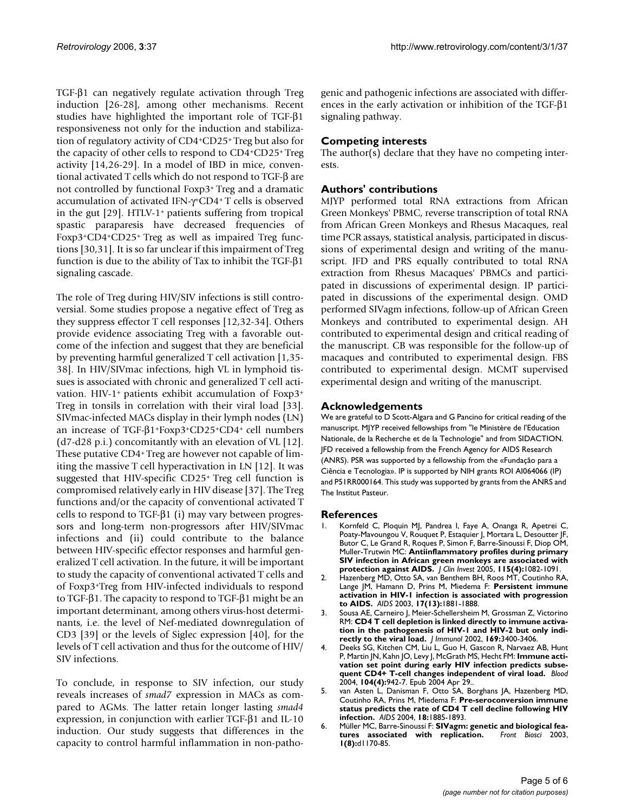TGF-β1 can negatively regulate activation through Treg induction [26-28], among other mechanisms. Recent studies have highlighted the important role of TGF-β1 responsiveness not only for the induction and stabilization of regulatory activity of CD4<sup>+</sup>CD25<sup>+</sup>Treg but also for the capacity of other cells to respond to CD4<sup>+</sup>CD25<sup>+</sup>Treg activity [14,26-29]. In a model of IBD in mice, conventional activated T cells which do not respond to TGF-β are not controlled by functional Foxp3<sup>+</sup>Treg and a dramatic accumulation of activated IFN-γ <sup>+</sup>CD4<sup>+</sup>T cells is observed in the gut  $[29]$ . HTLV-1<sup>+</sup> patients suffering from tropical spastic paraparesis have decreased frequencies of Foxp3+CD4+CD25+ Treg as well as impaired Treg functions [30,31]. It is so far unclear if this impairment of Treg function is due to the ability of Tax to inhibit the TGF-β1 signaling cascade.

The role of Treg during HIV/SIV infections is still controversial. Some studies propose a negative effect of Treg as they suppress effector T cell responses [12,32-34]. Others provide evidence associating Treg with a favorable outcome of the infection and suggest that they are beneficial by preventing harmful generalized T cell activation [1,35- 38]. In HIV/SIVmac infections, high VL in lymphoid tissues is associated with chronic and generalized T cell activation. HIV-1+ patients exhibit accumulation of Foxp3+ Treg in tonsils in correlation with their viral load [33]. SIVmac-infected MACs display in their lymph nodes (LN) an increase of TGF-β1+Foxp3+CD25+CD4+ cell numbers (d7-d28 p.i.) concomitantly with an elevation of VL [12]. These putative CD4+ Treg are however not capable of limiting the massive T cell hyperactivation in LN [12]. It was suggested that HIV-specific CD25<sup>+</sup>Treg cell function is compromised relatively early in HIV disease [37]. The Treg functions and/or the capacity of conventional activated T cells to respond to TGF-β1 (i) may vary between progressors and long-term non-progressors after HIV/SIVmac infections and (ii) could contribute to the balance between HIV-specific effector responses and harmful generalized T cell activation. In the future, it will be important to study the capacity of conventional activated T cells and of Foxp3<sup>+</sup>Treg from HIV-infected individuals to respond to TGF-β1. The capacity to respond to TGF-β1 might be an important determinant, among others virus-host determinants, i.e. the level of Nef-mediated downregulation of CD3 [39] or the levels of Siglec expression [40], for the levels of T cell activation and thus for the outcome of HIV/ SIV infections.

To conclude, in response to SIV infection, our study reveals increases of *smad7* expression in MACs as compared to AGMs. The latter retain longer lasting *smad4* expression, in conjunction with earlier TGF-β1 and IL-10 induction. Our study suggests that differences in the capacity to control harmful inflammation in non-pathogenic and pathogenic infections are associated with differences in the early activation or inhibition of the TGF-β1 signaling pathway.

#### **Competing interests**

The author(s) declare that they have no competing interests.

#### **Authors' contributions**

MJYP performed total RNA extractions from African Green Monkeys' PBMC, reverse transcription of total RNA from African Green Monkeys and Rhesus Macaques, real time PCR assays, statistical analysis, participated in discussions of experimental design and writing of the manuscript. JFD and PRS equally contributed to total RNA extraction from Rhesus Macaques' PBMCs and participated in discussions of experimental design. IP participated in discussions of the experimental design. OMD performed SIVagm infections, follow-up of African Green Monkeys and contributed to experimental design. AH contributed to experimental design and critical reading of the manuscript. CB was responsible for the follow-up of macaques and contributed to experimental design. FBS contributed to experimental design. MCMT supervised experimental design and writing of the manuscript.

#### **Acknowledgements**

We are grateful to D Scott-Algara and G Pancino for critical reading of the manuscript. MJYP received fellowships from "le Ministère de l'Education Nationale, de la Recherche et de la Technologie" and from SIDACTION. JFD received a fellowship from the French Agency for AIDS Research (ANRS). PSR was supported by a fellowship from the «Fundação para a Ciência e Tecnologia». IP is supported by NIH grants ROI AI064066 (IP) and P51RR000164. This study was supported by grants from the ANRS and The Institut Pasteur.

#### **References**

- 1. Kornfeld C, Ploquin MJ, Pandrea I, Faye A, Onanga R, Apetrei C, Poaty-Mavoungou V, Rouquet P, Estaquier J, Mortara L, Desoutter JF, Butor C, Le Grand R, Roques P, Simon F, Barre-Sinoussi F, Diop OM, Muller-Trutwin MC: **[Antiinflammatory profiles during primary](http://www.ncbi.nlm.nih.gov/entrez/query.fcgi?cmd=Retrieve&db=PubMed&dopt=Abstract&list_uids=15761496) [SIV infection in African green monkeys are associated with](http://www.ncbi.nlm.nih.gov/entrez/query.fcgi?cmd=Retrieve&db=PubMed&dopt=Abstract&list_uids=15761496) [protection against AIDS.](http://www.ncbi.nlm.nih.gov/entrez/query.fcgi?cmd=Retrieve&db=PubMed&dopt=Abstract&list_uids=15761496)** *J Clin Invest* 2005, **115(4):**1082-1091.
- 2. Hazenberg MD, Otto SA, van Benthem BH, Roos MT, Coutinho RA, Lange JM, Hamann D, Prins M, Miedema F: **[Persistent immune](http://www.ncbi.nlm.nih.gov/entrez/query.fcgi?cmd=Retrieve&db=PubMed&dopt=Abstract&list_uids=12960820) [activation in HIV-1 infection is associated with progression](http://www.ncbi.nlm.nih.gov/entrez/query.fcgi?cmd=Retrieve&db=PubMed&dopt=Abstract&list_uids=12960820) [to AIDS.](http://www.ncbi.nlm.nih.gov/entrez/query.fcgi?cmd=Retrieve&db=PubMed&dopt=Abstract&list_uids=12960820)** *AIDS* 2003, **17(13):**1881-1888.
- 3. Sousa AE, Carneiro J, Meier-Schellersheim M, Grossman Z, Victorino RM: **[CD4 T cell depletion is linked directly to immune activa](http://www.ncbi.nlm.nih.gov/entrez/query.fcgi?cmd=Retrieve&db=PubMed&dopt=Abstract&list_uids=12218162)[tion in the pathogenesis of HIV-1 and HIV-2 but only indi](http://www.ncbi.nlm.nih.gov/entrez/query.fcgi?cmd=Retrieve&db=PubMed&dopt=Abstract&list_uids=12218162)[rectly to the viral load.](http://www.ncbi.nlm.nih.gov/entrez/query.fcgi?cmd=Retrieve&db=PubMed&dopt=Abstract&list_uids=12218162)** *J Immunol* 2002, **169:**3400-3406.
- 4. Deeks SG, Kitchen CM, Liu L, Guo H, Gascon R, Narvaez AB, Hunt P, Martin JN, Kahn JO, Levy J, McGrath MS, Hecht FM: **[Immune acti](http://www.ncbi.nlm.nih.gov/entrez/query.fcgi?cmd=Retrieve&db=PubMed&dopt=Abstract&list_uids=15117761)[vation set point during early HIV infection predicts subse](http://www.ncbi.nlm.nih.gov/entrez/query.fcgi?cmd=Retrieve&db=PubMed&dopt=Abstract&list_uids=15117761)[quent CD4+ T-cell changes independent of viral load.](http://www.ncbi.nlm.nih.gov/entrez/query.fcgi?cmd=Retrieve&db=PubMed&dopt=Abstract&list_uids=15117761)** *Blood* 2004, **104(4):**942-7. Epub 2004 Apr 29..
- 5. van Asten L, Danisman F, Otto SA, Borghans JA, Hazenberg MD, Coutinho RA, Prins M, Miedema F: **[Pre-seroconversion immune](http://www.ncbi.nlm.nih.gov/entrez/query.fcgi?cmd=Retrieve&db=PubMed&dopt=Abstract&list_uids=15353974) [status predicts the rate of CD4 T cell decline following HIV](http://www.ncbi.nlm.nih.gov/entrez/query.fcgi?cmd=Retrieve&db=PubMed&dopt=Abstract&list_uids=15353974) [infection.](http://www.ncbi.nlm.nih.gov/entrez/query.fcgi?cmd=Retrieve&db=PubMed&dopt=Abstract&list_uids=15353974)** *AIDS* 2004, **18:**1885-1893.
- 6. Müller MC, Barre-Sinoussi F: **SIVagm: genetic and biological features associated with replication.** *Front Biosci* 2003, **1(8):**d1170-85.